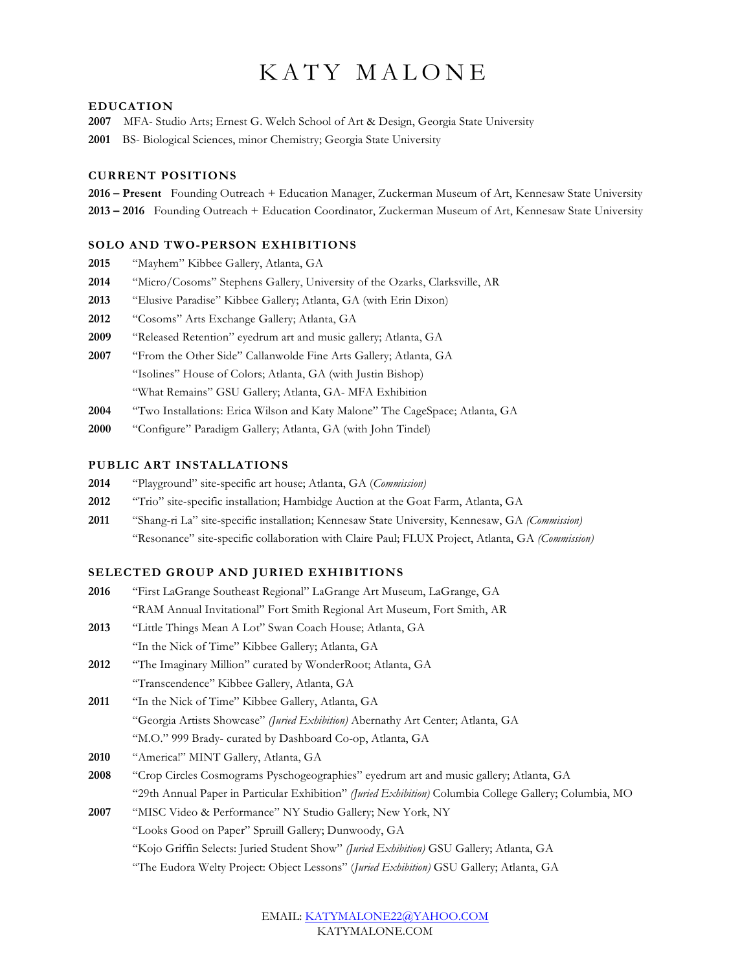# KATY MALONE

#### **EDUCATION**

- **2007** MFA- Studio Arts; Ernest G. Welch School of Art & Design, Georgia State University
- **2001** BS- Biological Sciences, minor Chemistry; Georgia State University

### **CURRENT POSITIONS**

**2016 – Present** Founding Outreach + Education Manager, Zuckerman Museum of Art, Kennesaw State University **2013 – 2016** Founding Outreach + Education Coordinator, Zuckerman Museum of Art, Kennesaw State University

#### **SOLO AND TWO-PERSON EXHIBITIONS**

- **2015** "Mayhem" Kibbee Gallery, Atlanta, GA
- **2014** "Micro/Cosoms" Stephens Gallery, University of the Ozarks, Clarksville, AR
- **2013** "Elusive Paradise" Kibbee Gallery; Atlanta, GA (with Erin Dixon)
- **2012** "Cosoms" Arts Exchange Gallery; Atlanta, GA
- **2009** "Released Retention" eyedrum art and music gallery; Atlanta, GA
- **2007** "From the Other Side" Callanwolde Fine Arts Gallery; Atlanta, GA "Isolines" House of Colors; Atlanta, GA (with Justin Bishop) "What Remains" GSU Gallery; Atlanta, GA- MFA Exhibition
- **2004** "Two Installations: Erica Wilson and Katy Malone" The CageSpace; Atlanta, GA
- **2000** "Configure" Paradigm Gallery; Atlanta, GA (with John Tindel)

# **PUBLIC ART INSTALLATIONS**

- **2014** "Playground" site-specific art house; Atlanta, GA (*Commission)*
- **2012** "Trio" site-specific installation; Hambidge Auction at the Goat Farm, Atlanta, GA
- **2011** "Shang-ri La" site-specific installation; Kennesaw State University, Kennesaw, GA *(Commission)* "Resonance" site-specific collaboration with Claire Paul; FLUX Project, Atlanta, GA *(Commission)*

#### **SELECTED GROUP AND JURIED EXHIBITIONS**

- **2016** "First LaGrange Southeast Regional" LaGrange Art Museum, LaGrange, GA "RAM Annual Invitational" Fort Smith Regional Art Museum, Fort Smith, AR
- **2013** "Little Things Mean A Lot" Swan Coach House; Atlanta, GA "In the Nick of Time" Kibbee Gallery; Atlanta, GA
- **2012** "The Imaginary Million" curated by WonderRoot; Atlanta, GA "Transcendence" Kibbee Gallery, Atlanta, GA
- **2011** "In the Nick of Time" Kibbee Gallery, Atlanta, GA "Georgia Artists Showcase" *(Juried Exhibition)* Abernathy Art Center; Atlanta, GA "M.O." 999 Brady- curated by Dashboard Co-op, Atlanta, GA
- **2010** "America!" MINT Gallery, Atlanta, GA
- **2008** "Crop Circles Cosmograms Pyschogeographies" eyedrum art and music gallery; Atlanta, GA "29th Annual Paper in Particular Exhibition" *(Juried Exhibition)* Columbia College Gallery; Columbia, MO
- **2007** "MISC Video & Performance" NY Studio Gallery; New York, NY "Looks Good on Paper" Spruill Gallery; Dunwoody, GA "Kojo Griffin Selects: Juried Student Show" *(Juried Exhibition)* GSU Gallery; Atlanta, GA "The Eudora Welty Project: Object Lessons" (*Juried Exhibition)* GSU Gallery; Atlanta, GA

# EMAIL: KATYMALONE22@YAHOO.COM KATYMALONE.COM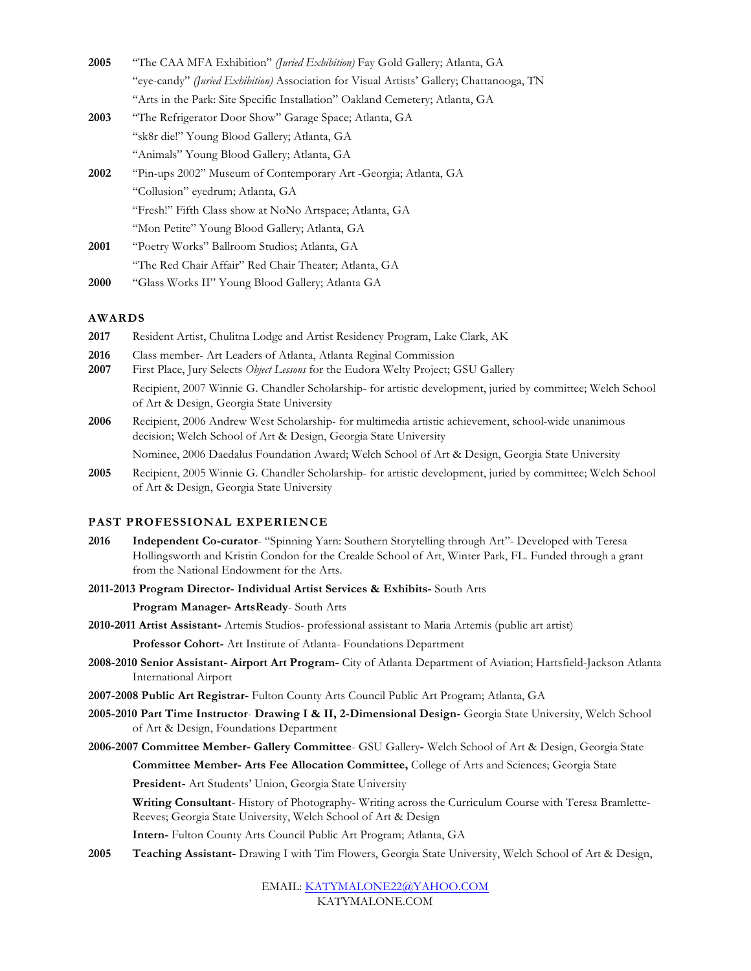| 2005 | "The CAA MFA Exhibition" (Juried Exhibition) Fay Gold Gallery; Atlanta, GA               |
|------|------------------------------------------------------------------------------------------|
|      | "eye-candy" (Juried Exhibition) Association for Visual Artists' Gallery; Chattanooga, TN |
|      | "Arts in the Park: Site Specific Installation" Oakland Cemetery; Atlanta, GA             |
| 2003 | "The Refrigerator Door Show" Garage Space; Atlanta, GA                                   |
|      | "sk8r die!" Young Blood Gallery; Atlanta, GA                                             |
|      | "Animals" Young Blood Gallery; Atlanta, GA                                               |
| 2002 | "Pin-ups 2002" Museum of Contemporary Art -Georgia; Atlanta, GA                          |
|      | "Collusion" eyedrum; Atlanta, GA                                                         |
|      | "Fresh!" Fifth Class show at NoNo Artspace; Atlanta, GA                                  |
|      | "Mon Petite" Young Blood Gallery; Atlanta, GA                                            |
| 2001 | "Poetry Works" Ballroom Studios; Atlanta, GA                                             |
|      | "The Red Chair Affair" Red Chair Theater: Atlanta, GA                                    |
| 2000 | "Glass Works II" Young Blood Gallery; Atlanta GA                                         |

#### **AWARDS**

- **2017** Resident Artist, Chulitna Lodge and Artist Residency Program, Lake Clark, AK
- **2016** Class member- Art Leaders of Atlanta, Atlanta Reginal Commission
- **2007** First Place, Jury Selects *Object Lessons* for the Eudora Welty Project; GSU Gallery

Recipient, 2007 Winnie G. Chandler Scholarship- for artistic development, juried by committee; Welch School of Art & Design, Georgia State University

**2006** Recipient, 2006 Andrew West Scholarship- for multimedia artistic achievement, school-wide unanimous decision; Welch School of Art & Design, Georgia State University Nominee, 2006 Daedalus Foundation Award; Welch School of Art & Design, Georgia State University

**2005** Recipient, 2005 Winnie G. Chandler Scholarship- for artistic development, juried by committee; Welch School

of Art & Design, Georgia State University

# **PAST PROFESSIONAL EXPERIENCE**

- **2016 Independent Co-curator** "Spinning Yarn: Southern Storytelling through Art"- Developed with Teresa Hollingsworth and Kristin Condon for the Crealde School of Art, Winter Park, FL. Funded through a grant from the National Endowment for the Arts.
- **2011-2013 Program Director- Individual Artist Services & Exhibits-** South Arts

**Program Manager- ArtsReady**- South Arts

**2010-2011 Artist Assistant-** Artemis Studios- professional assistant to Maria Artemis (public art artist)

**Professor Cohort-** Art Institute of Atlanta- Foundations Department

- **2008-2010 Senior Assistant- Airport Art Program-** City of Atlanta Department of Aviation; Hartsfield-Jackson Atlanta International Airport
- **2007-2008 Public Art Registrar-** Fulton County Arts Council Public Art Program; Atlanta, GA
- **2005-2010 Part Time Instructor Drawing I & II, 2-Dimensional Design-** Georgia State University, Welch School of Art & Design, Foundations Department
- **2006-2007 Committee Member- Gallery Committee** GSU Gallery**-** Welch School of Art & Design, Georgia State

**Committee Member- Arts Fee Allocation Committee,** College of Arts and Sciences; Georgia State **President-** Art Students' Union, Georgia State University

**Writing Consultant**- History of Photography- Writing across the Curriculum Course with Teresa Bramlette-Reeves; Georgia State University, Welch School of Art & Design

**Intern-** Fulton County Arts Council Public Art Program; Atlanta, GA

**2005 Teaching Assistant-** Drawing I with Tim Flowers, Georgia State University, Welch School of Art & Design,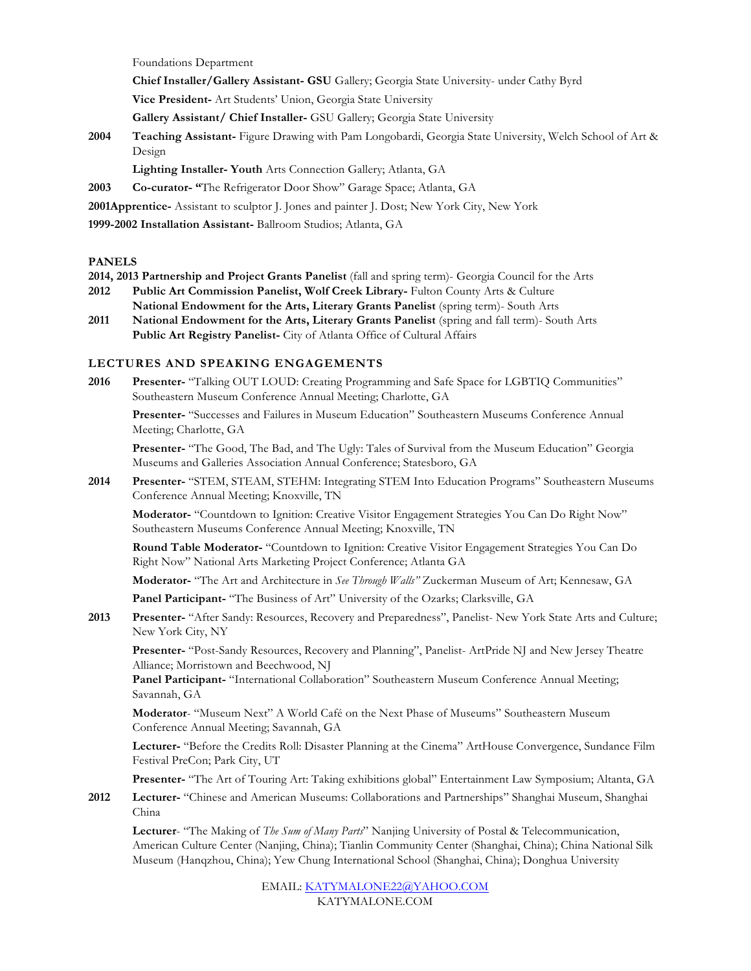Foundations Department

**Chief Installer/Gallery Assistant- GSU** Gallery; Georgia State University- under Cathy Byrd

**Vice President-** Art Students' Union, Georgia State University

**Gallery Assistant/ Chief Installer-** GSU Gallery; Georgia State University

**2004 Teaching Assistant-** Figure Drawing with Pam Longobardi, Georgia State University, Welch School of Art & Design

**Lighting Installer- Youth** Arts Connection Gallery; Atlanta, GA

**2003 Co-curator- "**The Refrigerator Door Show" Garage Space; Atlanta, GA

**2001Apprentice-** Assistant to sculptor J. Jones and painter J. Dost; New York City, New York

**1999-2002 Installation Assistant-** Ballroom Studios; Atlanta, GA

### **PANELS**

**2014, 2013 Partnership and Project Grants Panelist** (fall and spring term)- Georgia Council for the Arts

- **2012 Public Art Commission Panelist, Wolf Creek Library-** Fulton County Arts & Culture **National Endowment for the Arts, Literary Grants Panelist** (spring term)- South Arts
- **2011 National Endowment for the Arts, Literary Grants Panelist** (spring and fall term)- South Arts **Public Art Registry Panelist-** City of Atlanta Office of Cultural Affairs

# **LECTURES AND SPEAKING ENGAGEMENTS**

**2016 Presenter-** "Talking OUT LOUD: Creating Programming and Safe Space for LGBTIQ Communities" Southeastern Museum Conference Annual Meeting; Charlotte, GA

**Presenter-** "Successes and Failures in Museum Education" Southeastern Museums Conference Annual Meeting; Charlotte, GA

**Presenter-** "The Good, The Bad, and The Ugly: Tales of Survival from the Museum Education" Georgia Museums and Galleries Association Annual Conference; Statesboro, GA

**2014 Presenter-** "STEM, STEAM, STEHM: Integrating STEM Into Education Programs" Southeastern Museums Conference Annual Meeting; Knoxville, TN

**Moderator-** "Countdown to Ignition: Creative Visitor Engagement Strategies You Can Do Right Now" Southeastern Museums Conference Annual Meeting; Knoxville, TN

**Round Table Moderator-** "Countdown to Ignition: Creative Visitor Engagement Strategies You Can Do Right Now" National Arts Marketing Project Conference; Atlanta GA

**Moderator-** "The Art and Architecture in *See Through Walls"* Zuckerman Museum of Art; Kennesaw, GA

**Panel Participant-** "The Business of Art" University of the Ozarks; Clarksville, GA

**2013 Presenter-** "After Sandy: Resources, Recovery and Preparedness", Panelist- New York State Arts and Culture; New York City, NY

**Presenter-** "Post-Sandy Resources, Recovery and Planning", Panelist- ArtPride NJ and New Jersey Theatre Alliance; Morristown and Beechwood, NJ

**Panel Participant-** "International Collaboration" Southeastern Museum Conference Annual Meeting; Savannah, GA

**Moderator**- "Museum Next" A World Café on the Next Phase of Museums" Southeastern Museum Conference Annual Meeting; Savannah, GA

**Lecturer-** "Before the Credits Roll: Disaster Planning at the Cinema" ArtHouse Convergence, Sundance Film Festival PreCon; Park City, UT

**Presenter-** "The Art of Touring Art: Taking exhibitions global" Entertainment Law Symposium; Altanta, GA

**2012 Lecturer-** "Chinese and American Museums: Collaborations and Partnerships" Shanghai Museum, Shanghai China

**Lecturer**- "The Making of *The Sum of Many Parts*" Nanjing University of Postal & Telecommunication, American Culture Center (Nanjing, China); Tianlin Community Center (Shanghai, China); China National Silk Museum (Hanqzhou, China); Yew Chung International School (Shanghai, China); Donghua University

> EMAIL: KATYMALONE22@YAHOO.COM KATYMALONE.COM